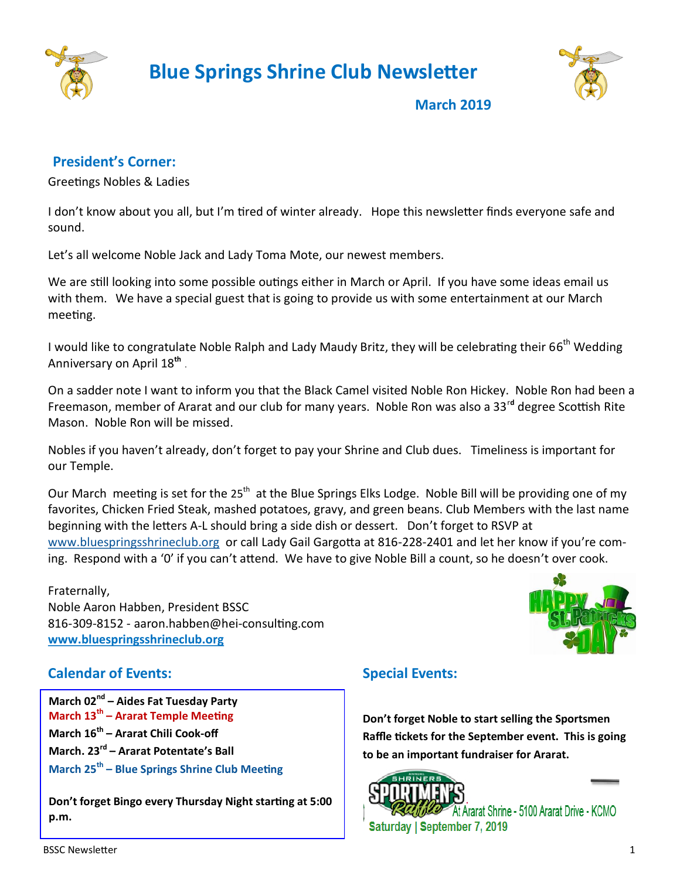

 **Blue Springs Shrine Club Newsletter**



**March 2019**

## **President's Corner:**

Greetings Nobles & Ladies

I don't know about you all, but I'm tired of winter already. Hope this newsletter finds everyone safe and sound.

Let's all welcome Noble Jack and Lady Toma Mote, our newest members.

We are still looking into some possible outings either in March or April. If you have some ideas email us with them. We have a special guest that is going to provide us with some entertainment at our March meeting.

I would like to congratulate Noble Ralph and Lady Maudy Britz, they will be celebrating their 66<sup>th</sup> Wedding Anniversary on April 18**th**  .

On a sadder note I want to inform you that the Black Camel visited Noble Ron Hickey. Noble Ron had been a Freemason, member of Ararat and our club for many years. Noble Ron was also a 33<sup>r</sup>**<sup>d</sup>** degree Scottish Rite Mason. Noble Ron will be missed.

Nobles if you haven't already, don't forget to pay your Shrine and Club dues. Timeliness is important for our Temple.

Our March meeting is set for the 25<sup>th</sup> at the Blue Springs Elks Lodge. Noble Bill will be providing one of my favorites, Chicken Fried Steak, mashed potatoes, gravy, and green beans. Club Members with the last name beginning with the letters A-L should bring a side dish or dessert. Don't forget to RSVP at

[www.bluespringsshrineclub.org](http://www.bluespringsshrineclub.org) or call Lady Gail Gargotta at 816-228-2401 and let her know if you're coming. Respond with a '0' if you can't attend. We have to give Noble Bill a count, so he doesn't over cook.

Fraternally, Noble Aaron Habben, President BSSC 816-309-8152 - aaron.habben@hei-consulting.com **[www.bluespringsshrineclub.org](http://www.bluespringsshrineclub.org)**



## **Calendar of Events:**

**March 02nd – Aides Fat Tuesday Party March 13th – Ararat Temple Meeting March 16th – Ararat Chili Cook-off March. 23rd – Ararat Potentate's Ball March 25th – Blue Springs Shrine Club Meeting**

**Don't forget Bingo every Thursday Night starting at 5:00 p.m.** 

## **Special Events:**

**Don't forget Noble to start selling the Sportsmen Raffle tickets for the September event. This is going to be an important fundraiser for Ararat.**